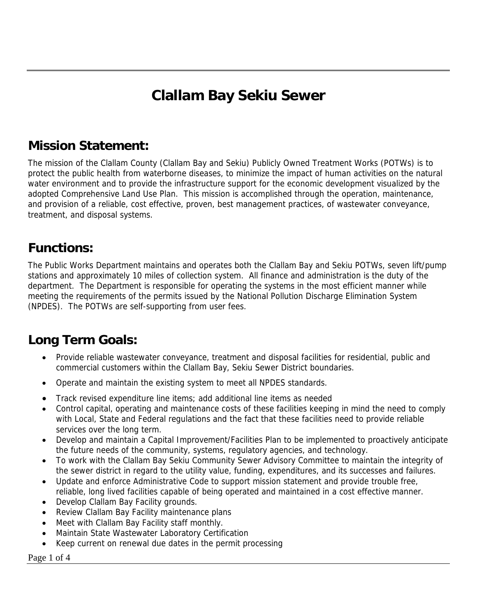# **Clallam Bay Sekiu Sewer**

### **Mission Statement:**

The mission of the Clallam County (Clallam Bay and Sekiu) Publicly Owned Treatment Works (POTWs) is to protect the public health from waterborne diseases, to minimize the impact of human activities on the natural water environment and to provide the infrastructure support for the economic development visualized by the adopted Comprehensive Land Use Plan. This mission is accomplished through the operation, maintenance, and provision of a reliable, cost effective, proven, best management practices, of wastewater conveyance, treatment, and disposal systems.

### **Functions:**

The Public Works Department maintains and operates both the Clallam Bay and Sekiu POTWs, seven lift/pump stations and approximately 10 miles of collection system. All finance and administration is the duty of the department. The Department is responsible for operating the systems in the most efficient manner while meeting the requirements of the permits issued by the National Pollution Discharge Elimination System (NPDES). The POTWs are self-supporting from user fees.

## **Long Term Goals:**

- Provide reliable wastewater conveyance, treatment and disposal facilities for residential, public and commercial customers within the Clallam Bay, Sekiu Sewer District boundaries.
- Operate and maintain the existing system to meet all NPDES standards.
- Track revised expenditure line items; add additional line items as needed
- Control capital, operating and maintenance costs of these facilities keeping in mind the need to comply with Local, State and Federal regulations and the fact that these facilities need to provide reliable services over the long term.
- Develop and maintain a Capital Improvement/Facilities Plan to be implemented to proactively anticipate the future needs of the community, systems, regulatory agencies, and technology.
- To work with the Clallam Bay Sekiu Community Sewer Advisory Committee to maintain the integrity of the sewer district in regard to the utility value, funding, expenditures, and its successes and failures.
- Update and enforce Administrative Code to support mission statement and provide trouble free, reliable, long lived facilities capable of being operated and maintained in a cost effective manner.
- Develop Clallam Bay Facility grounds.
- Review Clallam Bay Facility maintenance plans
- Meet with Clallam Bay Facility staff monthly.
- Maintain State Wastewater Laboratory Certification
- Keep current on renewal due dates in the permit processing

Page 1 of 4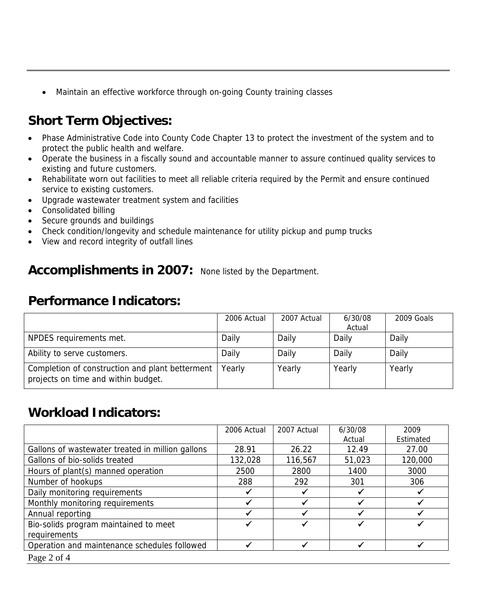• Maintain an effective workforce through on-going County training classes

## **Short Term Objectives:**

- Phase Administrative Code into County Code Chapter 13 to protect the investment of the system and to protect the public health and welfare.
- Operate the business in a fiscally sound and accountable manner to assure continued quality services to existing and future customers.
- Rehabilitate worn out facilities to meet all reliable criteria required by the Permit and ensure continued service to existing customers.
- Upgrade wastewater treatment system and facilities
- Consolidated billing
- Secure grounds and buildings
- Check condition/longevity and schedule maintenance for utility pickup and pump trucks
- View and record integrity of outfall lines

#### Accomplishments in 2007: None listed by the Department.

#### **Performance Indicators:**

|                                                                                        | 2006 Actual | 2007 Actual | 6/30/08<br>Actual | 2009 Goals |
|----------------------------------------------------------------------------------------|-------------|-------------|-------------------|------------|
| NPDES requirements met.                                                                | Daily       | Daily       | Daily             | Daily      |
| Ability to serve customers.                                                            | Daily       | Daily       | Daily             | Daily      |
| Completion of construction and plant betterment<br>projects on time and within budget. | Yearly      | Yearly      | Yearly            | Yearly     |

#### **Workload Indicators:**

|                                                  | 2006 Actual | 2007 Actual | 6/30/08 | 2009      |
|--------------------------------------------------|-------------|-------------|---------|-----------|
|                                                  |             |             | Actual  | Estimated |
| Gallons of wastewater treated in million gallons | 28.91       | 26.22       | 12.49   | 27.00     |
| Gallons of bio-solids treated                    | 132,028     | 116,567     | 51,023  | 120,000   |
| Hours of plant(s) manned operation               | 2500        | 2800        | 1400    | 3000      |
| Number of hookups                                | 288         | 292         | 301     | 306       |
| Daily monitoring requirements                    |             |             |         |           |
| Monthly monitoring requirements                  |             |             |         |           |
| Annual reporting                                 |             |             |         |           |
| Bio-solids program maintained to meet            |             |             |         |           |
| requirements                                     |             |             |         |           |
| Operation and maintenance schedules followed     |             |             |         |           |
| Page 2 of 4                                      |             |             |         |           |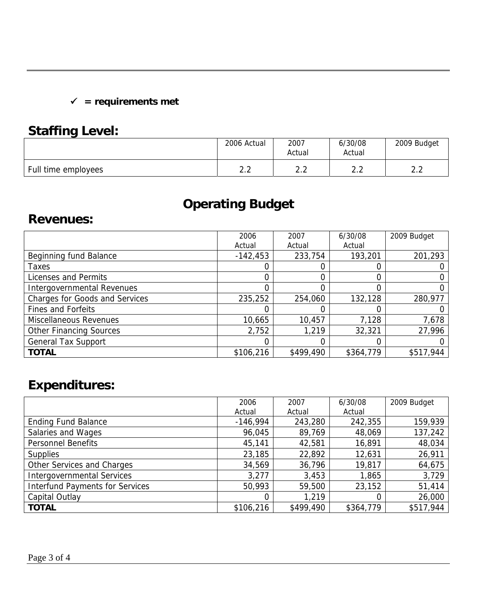#### 9 **= requirements met**

## **Staffing Level:**

| . .                 | 2006 Actual | 2007<br>Actual | 6/30/08<br>Actual | 2009 Budget |
|---------------------|-------------|----------------|-------------------|-------------|
| Full time employees | ⌒           | ົ              | $\cap$ $\cap$     | ົ           |
|                     | ے . ۔       | ے . ۔          | ے .               | ے . ۔       |

# **Operating Budget**

#### **Revenues:**

|                                | 2006       | 2007      | 6/30/08   | 2009 Budget |
|--------------------------------|------------|-----------|-----------|-------------|
|                                | Actual     | Actual    | Actual    |             |
| Beginning fund Balance         | $-142,453$ | 233,754   | 193,201   | 201,293     |
| Taxes                          |            | O)        | 0         |             |
| Licenses and Permits           |            | 0         | 0         |             |
| Intergovernmental Revenues     |            |           | 0         |             |
| Charges for Goods and Services | 235,252    | 254,060   | 132,128   | 280,977     |
| Fines and Forfeits             |            |           | 0         |             |
| Miscellaneous Revenues         | 10,665     | 10,457    | 7,128     | 7,678       |
| <b>Other Financing Sources</b> | 2,752      | 1,219     | 32,321    | 27,996      |
| <b>General Tax Support</b>     |            |           | 0         |             |
| <b>TOTAL</b>                   | \$106,216  | \$499,490 | \$364,779 | \$517,944   |

# **Expenditures:**

|                                        | 2006       | 2007      | 6/30/08        | 2009 Budget |
|----------------------------------------|------------|-----------|----------------|-------------|
|                                        | Actual     | Actual    | Actual         |             |
| <b>Ending Fund Balance</b>             | $-146,994$ | 243,280   | 242,355        | 159,939     |
| Salaries and Wages                     | 96,045     | 89,769    | 48,069         | 137,242     |
| Personnel Benefits                     | 45,141     | 42,581    | 16,891         | 48,034      |
| <b>Supplies</b>                        | 23,185     | 22,892    | 12,631         | 26,911      |
| Other Services and Charges             | 34,569     | 36,796    | 19,817         | 64,675      |
| <b>Intergovernmental Services</b>      | 3,277      | 3,453     | 1,865          | 3,729       |
| <b>Interfund Payments for Services</b> | 50,993     | 59,500    | 23,152         | 51,414      |
| Capital Outlay                         | 0          | 1,219     | $\overline{0}$ | 26,000      |
| <b>TOTAL</b>                           | \$106,216  | \$499,490 | \$364,779      | \$517,944   |